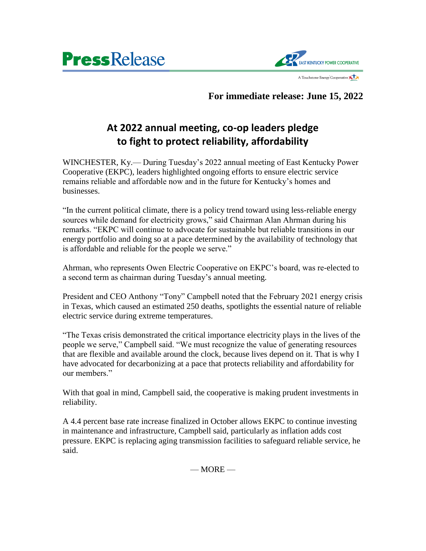



## **For immediate release: June 15, 2022**

## **At 2022 annual meeting, co-op leaders pledge to fight to protect reliability, affordability**

WINCHESTER, Ky.— During Tuesday's 2022 annual meeting of East Kentucky Power Cooperative (EKPC), leaders highlighted ongoing efforts to ensure electric service remains reliable and affordable now and in the future for Kentucky's homes and businesses.

"In the current political climate, there is a policy trend toward using less-reliable energy sources while demand for electricity grows," said Chairman Alan Ahrman during his remarks. "EKPC will continue to advocate for sustainable but reliable transitions in our energy portfolio and doing so at a pace determined by the availability of technology that is affordable and reliable for the people we serve."

Ahrman, who represents Owen Electric Cooperative on EKPC's board, was re-elected to a second term as chairman during Tuesday's annual meeting.

President and CEO Anthony "Tony" Campbell noted that the February 2021 energy crisis in Texas, which caused an estimated 250 deaths, spotlights the essential nature of reliable electric service during extreme temperatures.

"The Texas crisis demonstrated the critical importance electricity plays in the lives of the people we serve," Campbell said. "We must recognize the value of generating resources that are flexible and available around the clock, because lives depend on it. That is why I have advocated for decarbonizing at a pace that protects reliability and affordability for our members."

With that goal in mind, Campbell said, the cooperative is making prudent investments in reliability.

A 4.4 percent base rate increase finalized in October allows EKPC to continue investing in maintenance and infrastructure, Campbell said, particularly as inflation adds cost pressure. EKPC is replacing aging transmission facilities to safeguard reliable service, he said.

 $-$  MORE  $-$